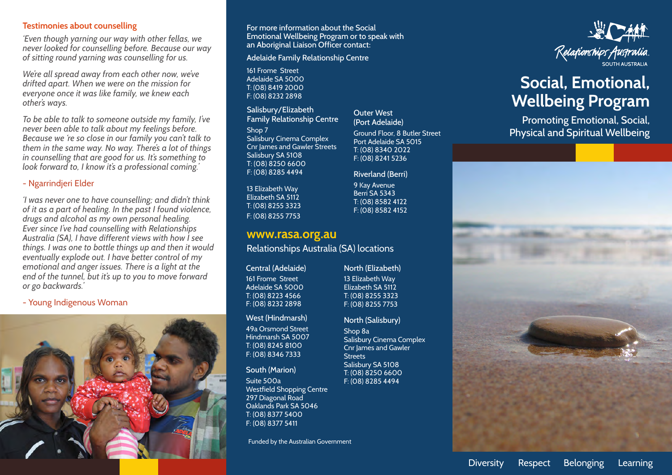#### **Testimonies about counselling**

*'Even though yarning our way with other fellas, we never looked for counselling before. Because our way of sitting round yarning was counselling for us.* 

*We're all spread away from each other now, we've drifted apart. When we were on the mission for everyone once it was like family, we knew each other's ways.*

*To be able to talk to someone outside my family, I've never been able to talk about my feelings before. Because we 're so close in our family you can't talk to them in the same way. No way. There's a lot of things in counselling that are good for us. It's something to look forward to, I know it's a professional coming.'*

#### - Ngarrindjeri Elder

*'I was never one to have counselling; and didn't think of it as a part of healing. In the past I found violence, drugs and alcohol as my own personal healing. Ever since I've had counselling with Relationships Australia (SA), I have different views with how I see things. I was one to bottle things up and then it would eventually explode out. I have better control of my emotional and anger issues. There is a light at the end of the tunnel, but it's up to you to move forward or go backwards.'*

- Young Indigenous Woman



For more information about the Social Emotional Wellbeing Program or to speak with an Aboriginal Liaison Officer contact:

Adelaide Family Relationship Centre

161 Frome Street Adelaide SA 5000 T: (08) 8419 2000 F: (08) 8232 2898

Salisbury/Elizabeth Family Relationship Centre

Shop 7 Salisbury Cinema Complex Cnr James and Gawler Streets Salisbury SA 5108 T: (08) 8250 6600 F: (08) 8285 4494

13 Elizabeth Way Elizabeth SA 5112 T: (08) 8255 3323 F: (08) 8255 7753

# **www.rasa.org.au**

Relationships Australia (SA) locations

Central (Adelaide)

161 Frome Street Adelaide SA 5000 T: (08) 8223 4566 F: (08) 8232 2898

#### West (Hindmarsh)

49a Orsmond Street Hindmarsh SA 5007 T: (08) 8245 8100 F: (08) 8346 7333

#### South (Marion)

Suite 500a Westfield Shopping Centre 297 Diagonal Road Oaklands Park SA 5046 T: (08) 8377 5400 F: (08) 8377 5411

Funded by the Australian Government

# Outer West (Port Adelaide)

Ground Floor, 8 Butler Street Port Adelaide SA 5015 T: (08) 8340 2022 F: (08) 8241 5236

#### Riverland (Berri)

9 Kay Avenue Berri SA 5343 T: (08) 8582 4122 F: (08) 8582 4152



North (Salisbury)

Shop 8a Salisbury Cinema Complex Cnr James and Gawler **Streets** Salisbury SA 5108 T: (08) 8250 6600 F: (08) 8285 4494



# Social, Emotional, **Wellbeing Program**

Promoting Emotional, Social, Physical and Spiritual Wellbeing